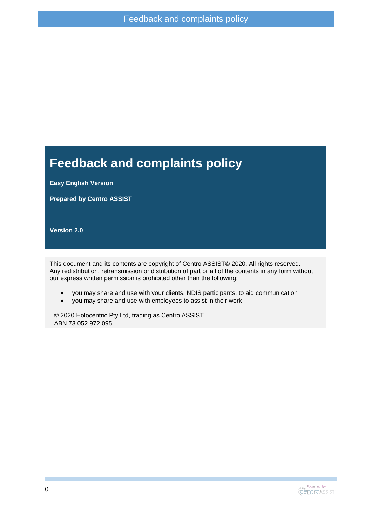#### **Feedback and complaints policy**

**Easy English Version**

**Prepared by Centro ASSIST**

**Version 2.0**

This document and its contents are copyright of Centro ASSIST© 2020. All rights reserved. Any redistribution, retransmission or distribution of part or all of the contents in any form without our express written permission is prohibited other than the following:

- you may share and use with your clients, NDIS participants, to aid communication
- you may share and use with employees to assist in their work

© 2020 Holocentric Pty Ltd, trading as Centro ASSIST ABN 73 052 972 095

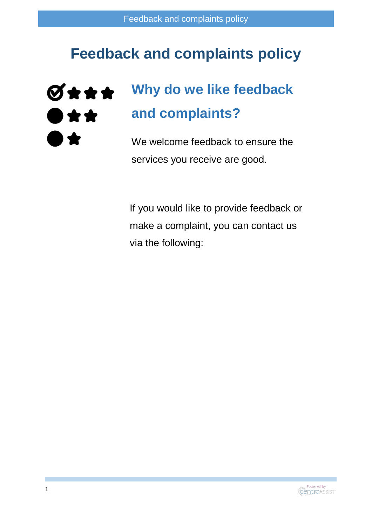## **Feedback and complaints policy**

#### **Why do we like feedback**   $\theta$ \*\*\* **and complaints?**  $\bullet\star\star$

We welcome feedback to ensure the services you receive are good.

If you would like to provide feedback or make a complaint, you can contact us via the following:

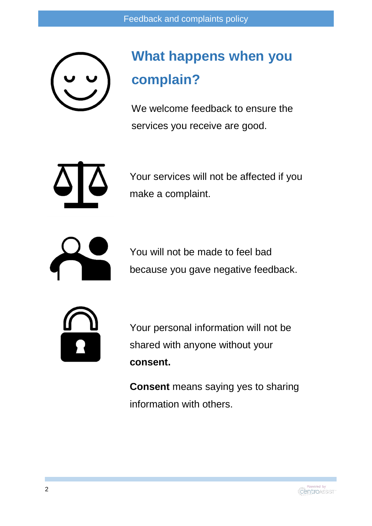

## **What happens when you complain?**

We welcome feedback to ensure the services you receive are good.



Your services will not be affected if you make a complaint.



You will not be made to feel bad because you gave negative feedback.



Your personal information will not be shared with anyone without your **consent.**

**Consent** means saying yes to sharing information with others.

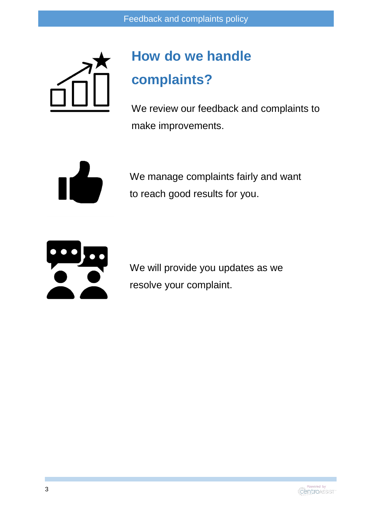

# **How do we handle complaints?**

We review our feedback and complaints to make improvements.



We manage complaints fairly and want to reach good results for you.



We will provide you updates as we resolve your complaint.

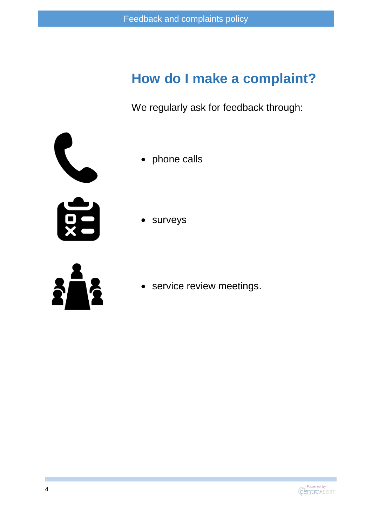### **How do I make a complaint?**

We regularly ask for feedback through:



- phone calls
- surveys



service review meetings.